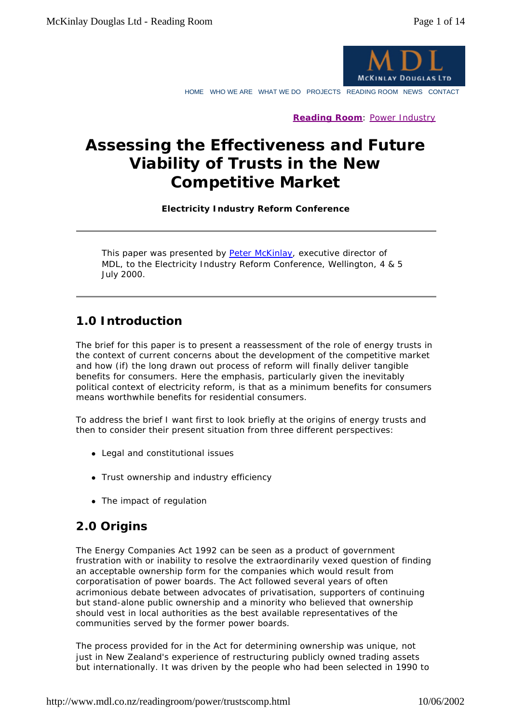

HOME WHO WE ARE WHAT WE DO PROJECTS READING ROOM NEWS CONTACT

**Reading Room**: Power Industry

# **Assessing the Effectiveness and Future Viability of Trusts in the New Competitive Market**

**Electricity Industry Reform Conference**

This paper was presented by Peter McKinlay, executive director of MDL, to the Electricity Industry Reform Conference, Wellington, 4 & 5 July 2000.

# **1.0 Introduction**

The brief for this paper is to present a reassessment of the role of energy trusts in the context of current concerns about the development of the competitive market and how (if) the long drawn out process of reform will finally deliver tangible benefits for consumers. Here the emphasis, particularly given the inevitably political context of electricity reform, is that as a minimum benefits for consumers means worthwhile benefits for residential consumers.

To address the brief I want first to look briefly at the origins of energy trusts and then to consider their present situation from three different perspectives:

- Legal and constitutional issues
- Trust ownership and industry efficiency
- $\bullet$  The impact of regulation

# **2.0 Origins**

The Energy Companies Act 1992 can be seen as a product of government frustration with or inability to resolve the extraordinarily vexed question of finding an acceptable ownership form for the companies which would result from corporatisation of power boards. The Act followed several years of often acrimonious debate between advocates of privatisation, supporters of continuing but stand-alone public ownership and a minority who believed that ownership should vest in local authorities as the best available representatives of the communities served by the former power boards.

The process provided for in the Act for determining ownership was unique, not just in New Zealand's experience of restructuring publicly owned trading assets but internationally. It was driven by the people who had been selected in 1990 to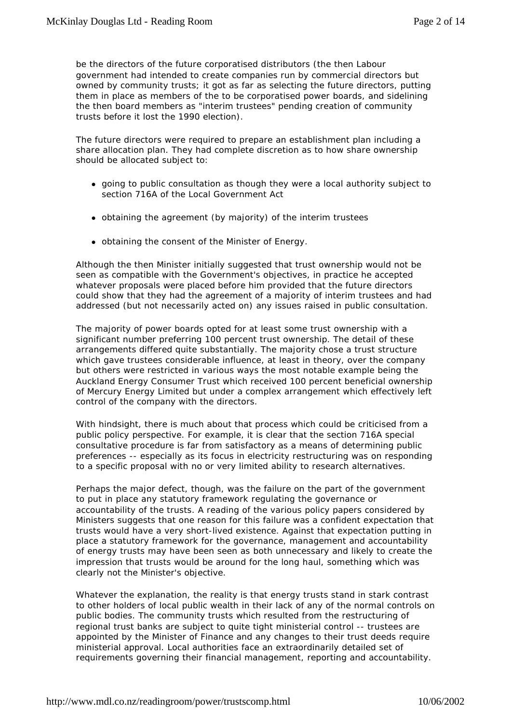be the directors of the future corporatised distributors (the then Labour government had intended to create companies run by commercial directors but owned by community trusts; it got as far as selecting the future directors, putting them in place as members of the to be corporatised power boards, and sidelining the then board members as "interim trustees" pending creation of community trusts before it lost the 1990 election).

The future directors were required to prepare an establishment plan including a share allocation plan. They had complete discretion as to how share ownership should be allocated subject to:

- going to public consultation as though they were a local authority subject to section 716A of the Local Government Act
- obtaining the agreement (by majority) of the interim trustees
- obtaining the consent of the Minister of Energy.

Although the then Minister initially suggested that trust ownership would not be seen as compatible with the Government's objectives, in practice he accepted whatever proposals were placed before him provided that the future directors could show that they had the agreement of a majority of interim trustees and had addressed (but not necessarily acted on) any issues raised in public consultation.

The majority of power boards opted for at least some trust ownership with a significant number preferring 100 percent trust ownership. The detail of these arrangements differed quite substantially. The majority chose a trust structure which gave trustees considerable influence, at least in theory, over the company but others were restricted in various ways the most notable example being the Auckland Energy Consumer Trust which received 100 percent beneficial ownership of Mercury Energy Limited but under a complex arrangement which effectively left control of the company with the directors.

With hindsight, there is much about that process which could be criticised from a public policy perspective. For example, it is clear that the section 716A special consultative procedure is far from satisfactory as a means of determining public preferences -- especially as its focus in electricity restructuring was on responding to a specific proposal with no or very limited ability to research alternatives.

Perhaps the major defect, though, was the failure on the part of the government to put in place any statutory framework regulating the governance or accountability of the trusts. A reading of the various policy papers considered by Ministers suggests that one reason for this failure was a confident expectation that trusts would have a very short-lived existence. Against that expectation putting in place a statutory framework for the governance, management and accountability of energy trusts may have been seen as both unnecessary and likely to create the impression that trusts would be around for the long haul, something which was clearly not the Minister's objective.

Whatever the explanation, the reality is that energy trusts stand in stark contrast to other holders of local public wealth in their lack of any of the normal controls on public bodies. The community trusts which resulted from the restructuring of regional trust banks are subject to quite tight ministerial control -- trustees are appointed by the Minister of Finance and any changes to their trust deeds require ministerial approval. Local authorities face an extraordinarily detailed set of requirements governing their financial management, reporting and accountability.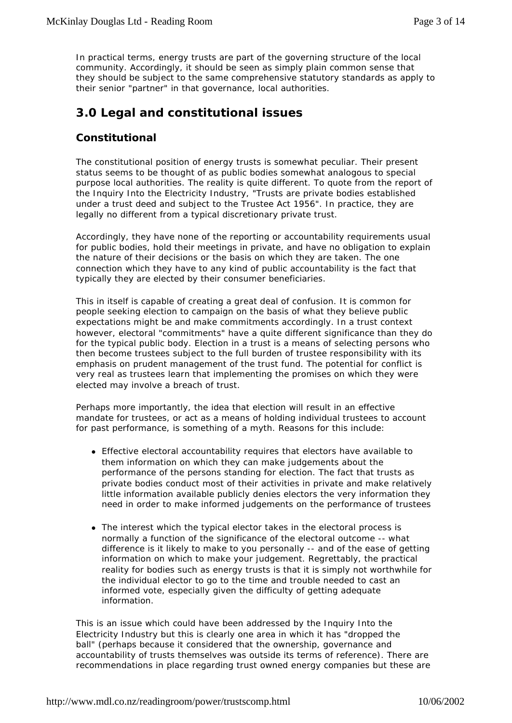In practical terms, energy trusts are part of the governing structure of the local community. Accordingly, it should be seen as simply plain common sense that they should be subject to the same comprehensive statutory standards as apply to their senior "partner" in that governance, local authorities.

# **3.0 Legal and constitutional issues**

### **Constitutional**

The constitutional position of energy trusts is somewhat peculiar. Their present status seems to be thought of as public bodies somewhat analogous to special purpose local authorities. The reality is quite different. To quote from the report of the Inquiry Into the Electricity Industry, "Trusts are private bodies established under a trust deed and subject to the Trustee Act 1956". In practice, they are legally no different from a typical discretionary private trust.

Accordingly, they have none of the reporting or accountability requirements usual for public bodies, hold their meetings in private, and have no obligation to explain the nature of their decisions or the basis on which they are taken. The one connection which they have to any kind of public accountability is the fact that typically they are elected by their consumer beneficiaries.

This in itself is capable of creating a great deal of confusion. It is common for people seeking election to campaign on the basis of what they believe public expectations might be and make commitments accordingly. In a trust context however, electoral "commitments" have a quite different significance than they do for the typical public body. Election in a trust is a means of selecting persons who then become trustees subject to the full burden of trustee responsibility with its emphasis on prudent management of the trust fund. The potential for conflict is very real as trustees learn that implementing the promises on which they were elected may involve a breach of trust.

Perhaps more importantly, the idea that election will result in an effective mandate for trustees, or act as a means of holding individual trustees to account for past performance, is something of a myth. Reasons for this include:

- Effective electoral accountability requires that electors have available to them information on which they can make judgements about the performance of the persons standing for election. The fact that trusts as private bodies conduct most of their activities in private and make relatively little information available publicly denies electors the very information they need in order to make informed judgements on the performance of trustees
- The interest which the typical elector takes in the electoral process is normally a function of the significance of the electoral outcome -- what difference is it likely to make to you personally -- and of the ease of getting information on which to make your judgement. Regrettably, the practical reality for bodies such as energy trusts is that it is simply not worthwhile for the individual elector to go to the time and trouble needed to cast an informed vote, especially given the difficulty of getting adequate information.

This is an issue which could have been addressed by the Inquiry Into the Electricity Industry but this is clearly one area in which it has "dropped the ball" (perhaps because it considered that the ownership, governance and accountability of trusts themselves was outside its terms of reference). There are recommendations in place regarding trust owned energy companies but these are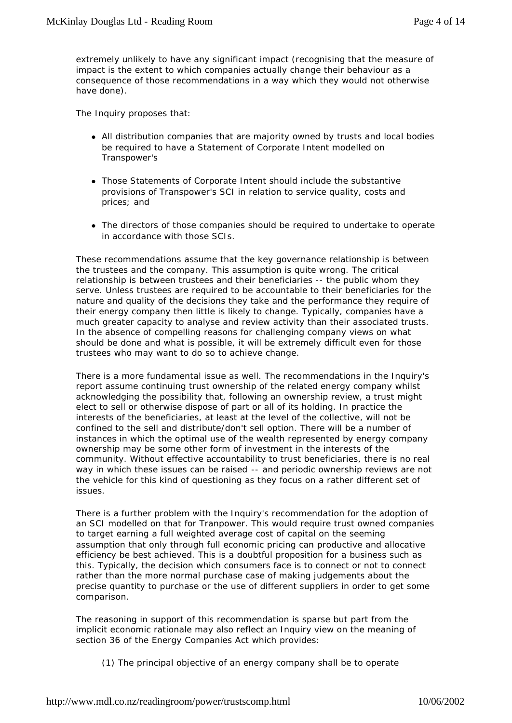extremely unlikely to have any significant impact (recognising that the measure of impact is the extent to which companies actually change their behaviour as a consequence of those recommendations in a way which they would not otherwise have done).

The Inquiry proposes that:

- All distribution companies that are majority owned by trusts and local bodies be required to have a Statement of Corporate Intent modelled on Transpower's
- Those Statements of Corporate Intent should include the substantive provisions of Transpower's SCI in relation to service quality, costs and prices; and
- The directors of those companies should be required to undertake to operate in accordance with those SCIs.

These recommendations assume that the key governance relationship is between the trustees and the company. This assumption is quite wrong. The critical relationship is between trustees and their beneficiaries -- the public whom they serve. Unless trustees are required to be accountable to their beneficiaries for the nature and quality of the decisions they take and the performance they require of their energy company then little is likely to change. Typically, companies have a much greater capacity to analyse and review activity than their associated trusts. In the absence of compelling reasons for challenging company views on what should be done and what is possible, it will be extremely difficult even for those trustees who may want to do so to achieve change.

There is a more fundamental issue as well. The recommendations in the Inquiry's report assume continuing trust ownership of the related energy company whilst acknowledging the possibility that, following an ownership review, a trust might elect to sell or otherwise dispose of part or all of its holding. In practice the interests of the beneficiaries, at least at the level of the collective, will not be confined to the sell and distribute/don't sell option. There will be a number of instances in which the optimal use of the wealth represented by energy company ownership may be some other form of investment in the interests of the community. Without effective accountability to trust beneficiaries, there is no real way in which these issues can be raised -- and periodic ownership reviews are not the vehicle for this kind of questioning as they focus on a rather different set of issues.

There is a further problem with the Inquiry's recommendation for the adoption of an SCI modelled on that for Tranpower. This would require trust owned companies to target earning a full weighted average cost of capital on the seeming assumption that only through full economic pricing can productive and allocative efficiency be best achieved. This is a doubtful proposition for a business such as this. Typically, the decision which consumers face is to connect or not to connect rather than the more normal purchase case of making judgements about the precise quantity to purchase or the use of different suppliers in order to get some comparison.

The reasoning in support of this recommendation is sparse but part from the implicit economic rationale may also reflect an Inquiry view on the meaning of section 36 of the Energy Companies Act which provides:

(1) The principal objective of an energy company shall be to operate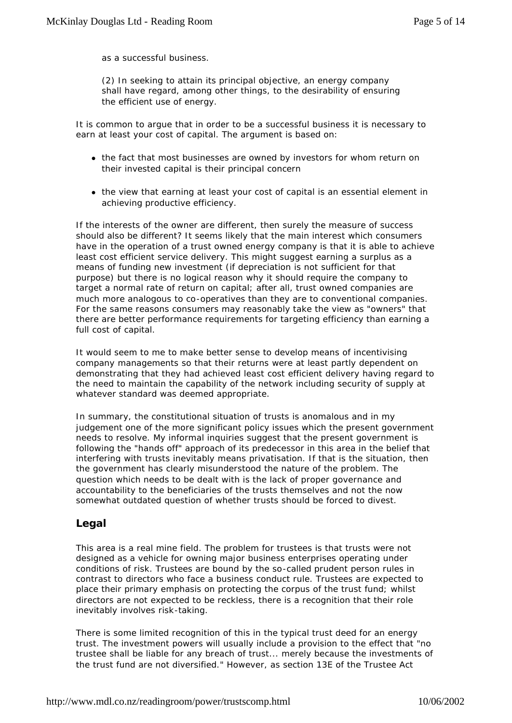as a successful business.

(2) In seeking to attain its principal objective, an energy company shall have regard, among other things, to the desirability of ensuring the efficient use of energy.

It is common to argue that in order to be a successful business it is necessary to earn at least your cost of capital. The argument is based on:

- the fact that most businesses are owned by investors for whom return on their invested capital is their principal concern
- the view that earning at least your cost of capital is an essential element in achieving productive efficiency.

If the interests of the owner are different, then surely the measure of success should also be different? It seems likely that the main interest which consumers have in the operation of a trust owned energy company is that it is able to achieve least cost efficient service delivery. This might suggest earning a surplus as a means of funding new investment (if depreciation is not sufficient for that purpose) but there is no logical reason why it should require the company to target a normal rate of return on capital; after all, trust owned companies are much more analogous to co-operatives than they are to conventional companies. For the same reasons consumers may reasonably take the view as "owners" that there are better performance requirements for targeting efficiency than earning a full cost of capital.

It would seem to me to make better sense to develop means of incentivising company managements so that their returns were at least partly dependent on demonstrating that they had achieved least cost efficient delivery having regard to the need to maintain the capability of the network including security of supply at whatever standard was deemed appropriate.

In summary, the constitutional situation of trusts is anomalous and in my judgement one of the more significant policy issues which the present government needs to resolve. My informal inquiries suggest that the present government is following the "hands off" approach of its predecessor in this area in the belief that interfering with trusts inevitably means privatisation. If that is the situation, then the government has clearly misunderstood the nature of the problem. The question which needs to be dealt with is the lack of proper governance and accountability to the beneficiaries of the trusts themselves and not the now somewhat outdated question of whether trusts should be forced to divest.

### **Legal**

This area is a real mine field. The problem for trustees is that trusts were not designed as a vehicle for owning major business enterprises operating under conditions of risk. Trustees are bound by the so-called prudent person rules in contrast to directors who face a business conduct rule. Trustees are expected to place their primary emphasis on protecting the corpus of the trust fund; whilst directors are not expected to be reckless, there is a recognition that their role inevitably involves risk-taking.

There is some limited recognition of this in the typical trust deed for an energy trust. The investment powers will usually include a provision to the effect that "no trustee shall be liable for any breach of trust... merely because the investments of the trust fund are not diversified." However, as section 13E of the Trustee Act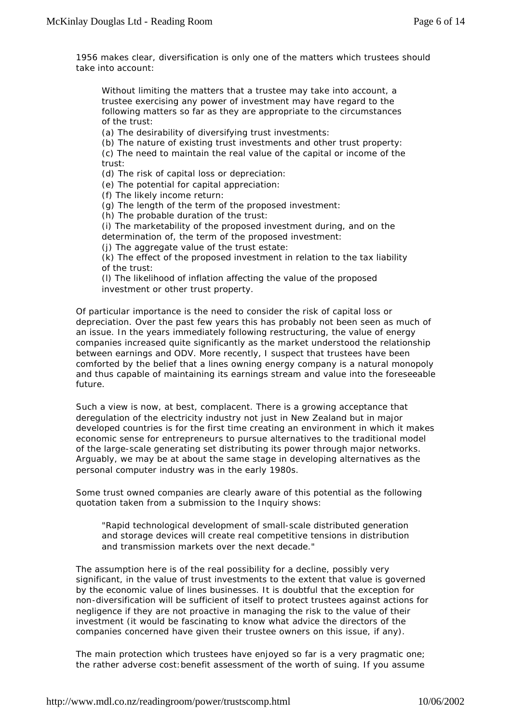1956 makes clear, diversification is only one of the matters which trustees should take into account:

Without limiting the matters that a trustee may take into account, a trustee exercising any power of investment may have regard to the following matters so far as they are appropriate to the circumstances of the trust:

(a) The desirability of diversifying trust investments:

(b) The nature of existing trust investments and other trust property:

(c) The need to maintain the real value of the capital or income of the trust:

(d) The risk of capital loss or depreciation:

(e) The potential for capital appreciation:

(f) The likely income return:

(g) The length of the term of the proposed investment:

(h) The probable duration of the trust:

(i) The marketability of the proposed investment during, and on the determination of, the term of the proposed investment:

(j) The aggregate value of the trust estate:

(k) The effect of the proposed investment in relation to the tax liability of the trust:

(l) The likelihood of inflation affecting the value of the proposed investment or other trust property.

Of particular importance is the need to consider the risk of capital loss or depreciation. Over the past few years this has probably not been seen as much of an issue. In the years immediately following restructuring, the value of energy companies increased quite significantly as the market understood the relationship between earnings and ODV. More recently, I suspect that trustees have been comforted by the belief that a lines owning energy company is a natural monopoly and thus capable of maintaining its earnings stream and value into the foreseeable future.

Such a view is now, at best, complacent. There is a growing acceptance that deregulation of the electricity industry not just in New Zealand but in major developed countries is for the first time creating an environment in which it makes economic sense for entrepreneurs to pursue alternatives to the traditional model of the large-scale generating set distributing its power through major networks. Arguably, we may be at about the same stage in developing alternatives as the personal computer industry was in the early 1980s.

Some trust owned companies are clearly aware of this potential as the following quotation taken from a submission to the Inquiry shows:

"Rapid technological development of small-scale distributed generation and storage devices will create real competitive tensions in distribution and transmission markets over the next decade."

The assumption here is of the real possibility for a decline, possibly very significant, in the value of trust investments to the extent that value is governed by the economic value of lines businesses. It is doubtful that the exception for non-diversification will be sufficient of itself to protect trustees against actions for negligence if they are not proactive in managing the risk to the value of their investment (it would be fascinating to know what advice the directors of the companies concerned have given their trustee owners on this issue, if any).

The main protection which trustees have enjoyed so far is a very pragmatic one; the rather adverse cost:benefit assessment of the worth of suing. If you assume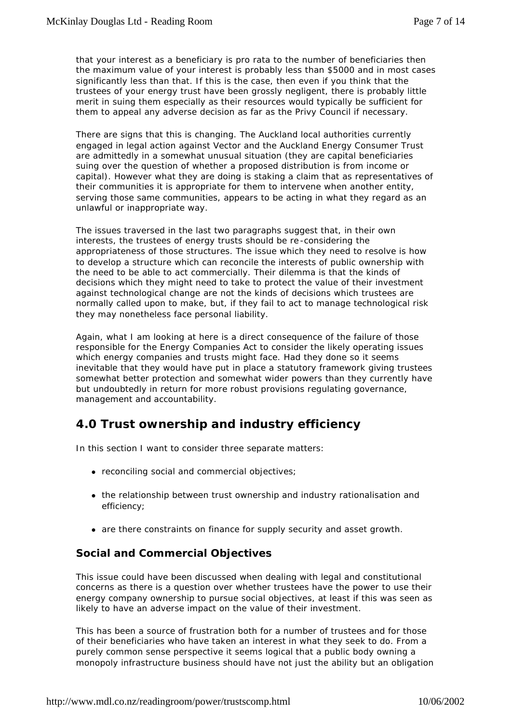that your interest as a beneficiary is pro rata to the number of beneficiaries then the maximum value of your interest is probably less than \$5000 and in most cases significantly less than that. If this is the case, then even if you think that the trustees of your energy trust have been grossly negligent, there is probably little merit in suing them especially as their resources would typically be sufficient for them to appeal any adverse decision as far as the Privy Council if necessary.

There are signs that this is changing. The Auckland local authorities currently engaged in legal action against Vector and the Auckland Energy Consumer Trust are admittedly in a somewhat unusual situation (they are capital beneficiaries suing over the question of whether a proposed distribution is from income or capital). However what they are doing is staking a claim that as representatives of their communities it is appropriate for them to intervene when another entity, serving those same communities, appears to be acting in what they regard as an unlawful or inappropriate way.

The issues traversed in the last two paragraphs suggest that, in their own interests, the trustees of energy trusts should be re -considering the appropriateness of those structures. The issue which they need to resolve is how to develop a structure which can reconcile the interests of public ownership with the need to be able to act commercially. Their dilemma is that the kinds of decisions which they might need to take to protect the value of their investment against technological change are not the kinds of decisions which trustees are normally called upon to make, but, if they fail to act to manage technological risk they may nonetheless face personal liability.

Again, what I am looking at here is a direct consequence of the failure of those responsible for the Energy Companies Act to consider the likely operating issues which energy companies and trusts might face. Had they done so it seems inevitable that they would have put in place a statutory framework giving trustees somewhat better protection and somewhat wider powers than they currently have but undoubtedly in return for more robust provisions regulating governance, management and accountability.

# **4.0 Trust ownership and industry efficiency**

In this section I want to consider three separate matters:

- $\bullet$  reconciling social and commercial objectives;
- the relationship between trust ownership and industry rationalisation and efficiency;
- are there constraints on finance for supply security and asset growth.

### **Social and Commercial Objectives**

This issue could have been discussed when dealing with legal and constitutional concerns as there is a question over whether trustees have the power to use their energy company ownership to pursue social objectives, at least if this was seen as likely to have an adverse impact on the value of their investment.

This has been a source of frustration both for a number of trustees and for those of their beneficiaries who have taken an interest in what they seek to do. From a purely common sense perspective it seems logical that a public body owning a monopoly infrastructure business should have not just the ability but an obligation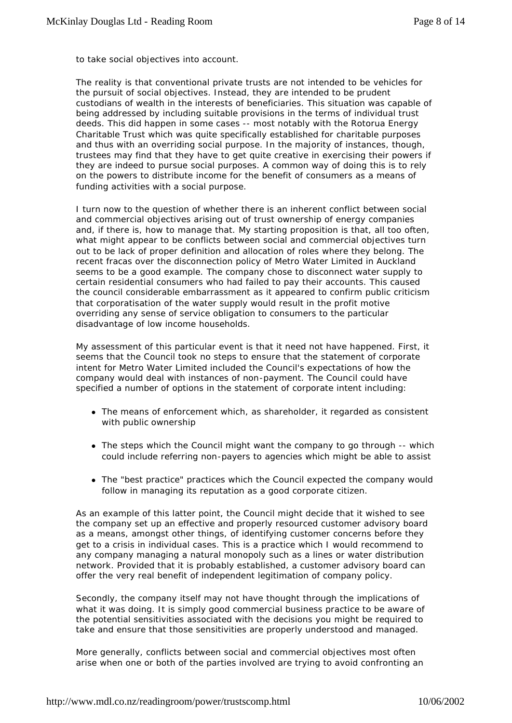to take social objectives into account.

The reality is that conventional private trusts are not intended to be vehicles for the pursuit of social objectives. Instead, they are intended to be prudent custodians of wealth in the interests of beneficiaries. This situation was capable of being addressed by including suitable provisions in the terms of individual trust deeds. This did happen in some cases -- most notably with the Rotorua Energy Charitable Trust which was quite specifically established for charitable purposes and thus with an overriding social purpose. In the majority of instances, though, trustees may find that they have to get quite creative in exercising their powers if they are indeed to pursue social purposes. A common way of doing this is to rely on the powers to distribute income for the benefit of consumers as a means of funding activities with a social purpose.

I turn now to the question of whether there is an inherent conflict between social and commercial objectives arising out of trust ownership of energy companies and, if there is, how to manage that. My starting proposition is that, all too often, what might appear to be conflicts between social and commercial objectives turn out to be lack of proper definition and allocation of roles where they belong. The recent fracas over the disconnection policy of Metro Water Limited in Auckland seems to be a good example. The company chose to disconnect water supply to certain residential consumers who had failed to pay their accounts. This caused the council considerable embarrassment as it appeared to confirm public criticism that corporatisation of the water supply would result in the profit motive overriding any sense of service obligation to consumers to the particular disadvantage of low income households.

My assessment of this particular event is that it need not have happened. First, it seems that the Council took no steps to ensure that the statement of corporate intent for Metro Water Limited included the Council's expectations of how the company would deal with instances of non-payment. The Council could have specified a number of options in the statement of corporate intent including:

- The means of enforcement which, as shareholder, it regarded as consistent with public ownership
- The steps which the Council might want the company to go through -- which could include referring non-payers to agencies which might be able to assist
- The "best practice" practices which the Council expected the company would follow in managing its reputation as a good corporate citizen.

As an example of this latter point, the Council might decide that it wished to see the company set up an effective and properly resourced customer advisory board as a means, amongst other things, of identifying customer concerns before they get to a crisis in individual cases. This is a practice which I would recommend to any company managing a natural monopoly such as a lines or water distribution network. Provided that it is probably established, a customer advisory board can offer the very real benefit of independent legitimation of company policy.

Secondly, the company itself may not have thought through the implications of what it was doing. It is simply good commercial business practice to be aware of the potential sensitivities associated with the decisions you might be required to take and ensure that those sensitivities are properly understood and managed.

More generally, conflicts between social and commercial objectives most often arise when one or both of the parties involved are trying to avoid confronting an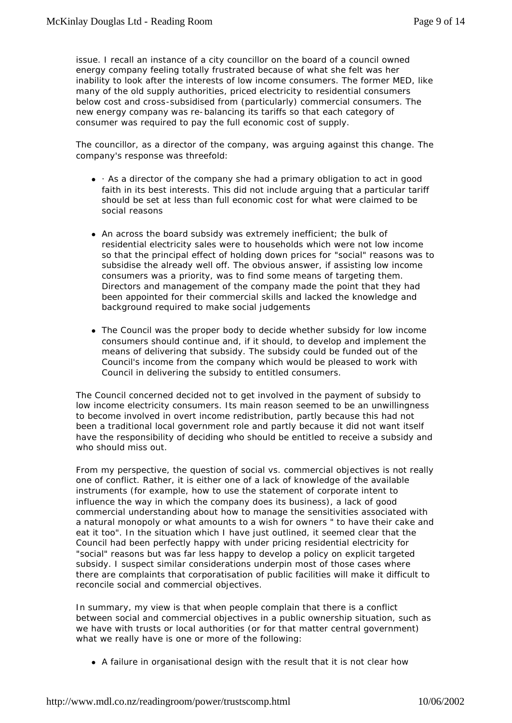issue. I recall an instance of a city councillor on the board of a council owned energy company feeling totally frustrated because of what she felt was her inability to look after the interests of low income consumers. The former MED, like many of the old supply authorities, priced electricity to residential consumers below cost and cross-subsidised from (particularly) commercial consumers. The new energy company was re-balancing its tariffs so that each category of consumer was required to pay the full economic cost of supply.

The councillor, as a director of the company, was arguing against this change. The company's response was threefold:

- $\bullet$   $\cdot$  As a director of the company she had a primary obligation to act in good faith in its best interests. This did not include arguing that a particular tariff should be set at less than full economic cost for what were claimed to be social reasons
- An across the board subsidy was extremely inefficient; the bulk of residential electricity sales were to households which were not low income so that the principal effect of holding down prices for "social" reasons was to subsidise the already well off. The obvious answer, if assisting low income consumers was a priority, was to find some means of targeting them. Directors and management of the company made the point that they had been appointed for their commercial skills and lacked the knowledge and background required to make social judgements
- The Council was the proper body to decide whether subsidy for low income consumers should continue and, if it should, to develop and implement the means of delivering that subsidy. The subsidy could be funded out of the Council's income from the company which would be pleased to work with Council in delivering the subsidy to entitled consumers.

The Council concerned decided not to get involved in the payment of subsidy to low income electricity consumers. Its main reason seemed to be an unwillingness to become involved in overt income redistribution, partly because this had not been a traditional local government role and partly because it did not want itself have the responsibility of deciding who should be entitled to receive a subsidy and who should miss out.

From my perspective, the question of social vs. commercial objectives is not really one of conflict. Rather, it is either one of a lack of knowledge of the available instruments (for example, how to use the statement of corporate intent to influence the way in which the company does its business), a lack of good commercial understanding about how to manage the sensitivities associated with a natural monopoly or what amounts to a wish for owners " to have their cake and eat it too". In the situation which I have just outlined, it seemed clear that the Council had been perfectly happy with under pricing residential electricity for "social" reasons but was far less happy to develop a policy on explicit targeted subsidy. I suspect similar considerations underpin most of those cases where there are complaints that corporatisation of public facilities will make it difficult to reconcile social and commercial objectives.

In summary, my view is that when people complain that there is a conflict between social and commercial objectives in a public ownership situation, such as we have with trusts or local authorities (or for that matter central government) what we really have is one or more of the following:

• A failure in organisational design with the result that it is not clear how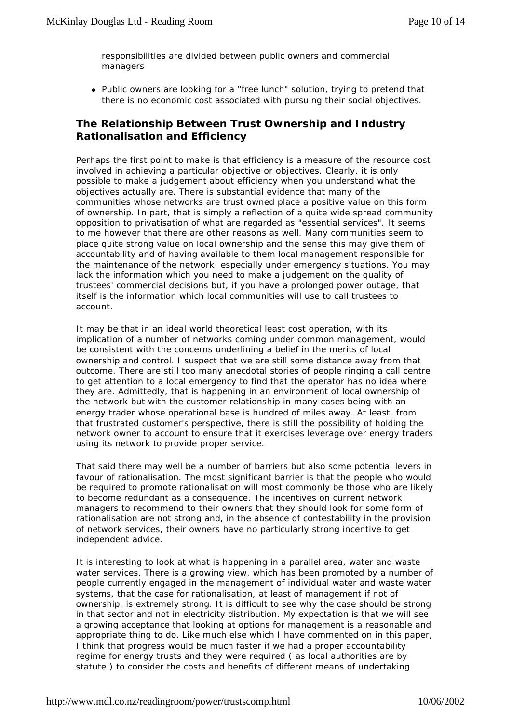responsibilities are divided between public owners and commercial managers

• Public owners are looking for a "free lunch" solution, trying to pretend that there is no economic cost associated with pursuing their social objectives.

### **The Relationship Between Trust Ownership and Industry Rationalisation and Efficiency**

Perhaps the first point to make is that efficiency is a measure of the resource cost involved in achieving a particular objective or objectives. Clearly, it is only possible to make a judgement about efficiency when you understand what the objectives actually are. There is substantial evidence that many of the communities whose networks are trust owned place a positive value on this form of ownership. In part, that is simply a reflection of a quite wide spread community opposition to privatisation of what are regarded as "essential services". It seems to me however that there are other reasons as well. Many communities seem to place quite strong value on local ownership and the sense this may give them of accountability and of having available to them local management responsible for the maintenance of the network, especially under emergency situations. You may lack the information which you need to make a judgement on the quality of trustees' commercial decisions but, if you have a prolonged power outage, that itself is the information which local communities will use to call trustees to account.

It may be that in an ideal world theoretical least cost operation, with its implication of a number of networks coming under common management, would be consistent with the concerns underlining a belief in the merits of local ownership and control. I suspect that we are still some distance away from that outcome. There are still too many anecdotal stories of people ringing a call centre to get attention to a local emergency to find that the operator has no idea where they are. Admittedly, that is happening in an environment of local ownership of the network but with the customer relationship in many cases being with an energy trader whose operational base is hundred of miles away. At least, from that frustrated customer's perspective, there is still the possibility of holding the network owner to account to ensure that it exercises leverage over energy traders using its network to provide proper service.

That said there may well be a number of barriers but also some potential levers in favour of rationalisation. The most significant barrier is that the people who would be required to promote rationalisation will most commonly be those who are likely to become redundant as a consequence. The incentives on current network managers to recommend to their owners that they should look for some form of rationalisation are not strong and, in the absence of contestability in the provision of network services, their owners have no particularly strong incentive to get independent advice.

It is interesting to look at what is happening in a parallel area, water and waste water services. There is a growing view, which has been promoted by a number of people currently engaged in the management of individual water and waste water systems, that the case for rationalisation, at least of management if not of ownership, is extremely strong. It is difficult to see why the case should be strong in that sector and not in electricity distribution. My expectation is that we will see a growing acceptance that looking at options for management is a reasonable and appropriate thing to do. Like much else which I have commented on in this paper, I think that progress would be much faster if we had a proper accountability regime for energy trusts and they were required ( as local authorities are by statute ) to consider the costs and benefits of different means of undertaking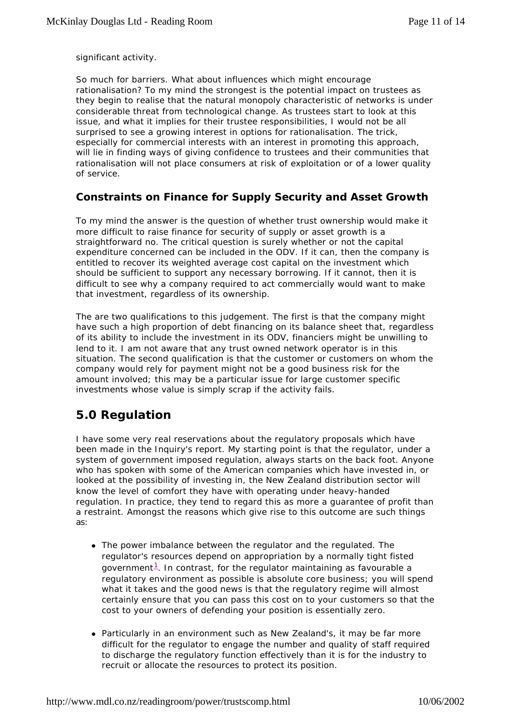significant activity.

So much for barriers. What about influences which might encourage rationalisation? To my mind the strongest is the potential impact on trustees as they begin to realise that the natural monopoly characteristic of networks is under considerable threat from technological change. As trustees start to look at this issue, and what it implies for their trustee responsibilities, I would not be all surprised to see a growing interest in options for rationalisation. The trick, especially for commercial interests with an interest in promoting this approach, will lie in finding ways of giving confidence to trustees and their communities that rationalisation will not place consumers at risk of exploitation or of a lower quality of service.

### **Constraints on Finance for Supply Security and Asset Growth**

To my mind the answer is the question of whether trust ownership would make it more difficult to raise finance for security of supply or asset growth is a straightforward no. The critical question is surely whether or not the capital expenditure concerned can be included in the ODV. If it can, then the company is entitled to recover its weighted average cost capital on the investment which should be sufficient to support any necessary borrowing. If it cannot, then it is difficult to see why a company required to act commercially would want to make that investment, regardless of its ownership.

The are two qualifications to this judgement. The first is that the company might have such a high proportion of debt financing on its balance sheet that, regardless of its ability to include the investment in its ODV, financiers might be unwilling to lend to it. I am not aware that any trust owned network operator is in this situation. The second qualification is that the customer or customers on whom the company would rely for payment might not be a good business risk for the amount involved; this may be a particular issue for large customer specific investments whose value is simply scrap if the activity fails.

# **5.0 Regulation**

I have some very real reservations about the regulatory proposals which have been made in the Inquiry's report. My starting point is that the regulator, under a system of government imposed regulation, always starts on the back foot. Anyone who has spoken with some of the American companies which have invested in, or looked at the possibility of investing in, the New Zealand distribution sector will know the level of comfort they have with operating under heavy-handed regulation. In practice, they tend to regard this as more a guarantee of profit than a restraint. Amongst the reasons which give rise to this outcome are such things as:

- The power imbalance between the regulator and the regulated. The regulator's resources depend on appropriation by a normally tight fisted government $^1$ . In contrast, for the regulator maintaining as favourable a regulatory environment as possible is absolute core business; you will spend what it takes and the good news is that the regulatory regime will almost certainly ensure that you can pass this cost on to your customers so that the cost to your owners of defending your position is essentially zero.
- Particularly in an environment such as New Zealand's, it may be far more difficult for the regulator to engage the number and quality of staff required to discharge the regulatory function effectively than it is for the industry to recruit or allocate the resources to protect its position.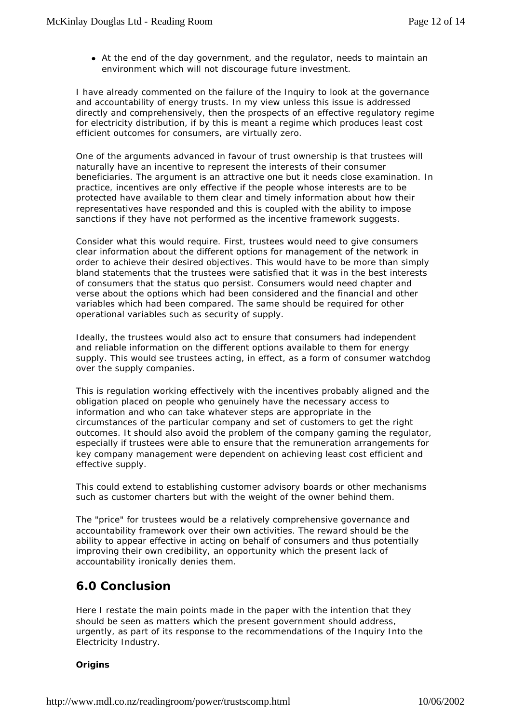• At the end of the day government, and the regulator, needs to maintain an environment which will not discourage future investment.

I have already commented on the failure of the Inquiry to look at the governance and accountability of energy trusts. In my view unless this issue is addressed directly and comprehensively, then the prospects of an effective regulatory regime for electricity distribution, if by this is meant a regime which produces least cost efficient outcomes for consumers, are virtually zero.

One of the arguments advanced in favour of trust ownership is that trustees will naturally have an incentive to represent the interests of their consumer beneficiaries. The argument is an attractive one but it needs close examination. In practice, incentives are only effective if the people whose interests are to be protected have available to them clear and timely information about how their representatives have responded and this is coupled with the ability to impose sanctions if they have not performed as the incentive framework suggests.

Consider what this would require. First, trustees would need to give consumers clear information about the different options for management of the network in order to achieve their desired objectives. This would have to be more than simply bland statements that the trustees were satisfied that it was in the best interests of consumers that the status quo persist. Consumers would need chapter and verse about the options which had been considered and the financial and other variables which had been compared. The same should be required for other operational variables such as security of supply.

Ideally, the trustees would also act to ensure that consumers had independent and reliable information on the different options available to them for energy supply. This would see trustees acting, in effect, as a form of consumer watchdog over the supply companies.

This is regulation working effectively with the incentives probably aligned and the obligation placed on people who genuinely have the necessary access to information and who can take whatever steps are appropriate in the circumstances of the particular company and set of customers to get the right outcomes. It should also avoid the problem of the company gaming the regulator, especially if trustees were able to ensure that the remuneration arrangements for key company management were dependent on achieving least cost efficient and effective supply.

This could extend to establishing customer advisory boards or other mechanisms such as customer charters but with the weight of the owner behind them.

The "price" for trustees would be a relatively comprehensive governance and accountability framework over their own activities. The reward should be the ability to appear effective in acting on behalf of consumers and thus potentially improving their own credibility, an opportunity which the present lack of accountability ironically denies them.

# **6.0 Conclusion**

Here I restate the main points made in the paper with the intention that they should be seen as matters which the present government should address, urgently, as part of its response to the recommendations of the Inquiry Into the Electricity Industry.

#### **Origins**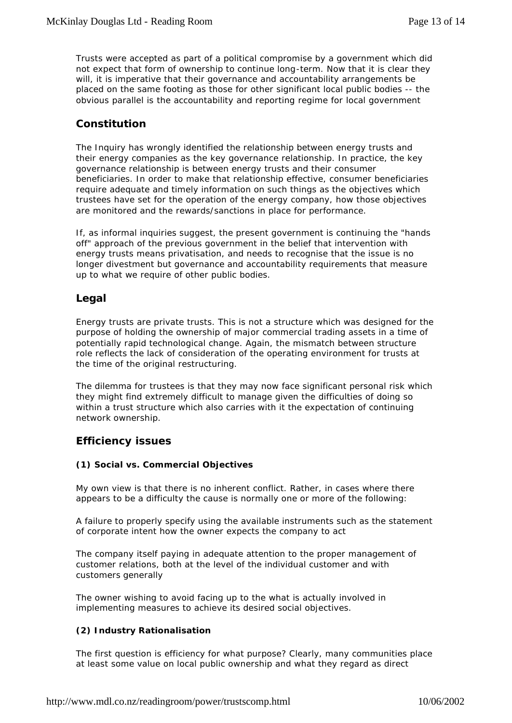Trusts were accepted as part of a political compromise by a government which did not expect that form of ownership to continue long-term. Now that it is clear they will, it is imperative that their governance and accountability arrangements be placed on the same footing as those for other significant local public bodies -- the obvious parallel is the accountability and reporting regime for local government

### **Constitution**

The Inquiry has wrongly identified the relationship between energy trusts and their energy companies as the key governance relationship. In practice, the key governance relationship is between energy trusts and their consumer beneficiaries. In order to make that relationship effective, consumer beneficiaries require adequate and timely information on such things as the objectives which trustees have set for the operation of the energy company, how those objectives are monitored and the rewards/sanctions in place for performance.

If, as informal inquiries suggest, the present government is continuing the "hands off" approach of the previous government in the belief that intervention with energy trusts means privatisation, and needs to recognise that the issue is no longer divestment but governance and accountability requirements that measure up to what we require of other public bodies.

### **Legal**

Energy trusts are private trusts. This is not a structure which was designed for the purpose of holding the ownership of major commercial trading assets in a time of potentially rapid technological change. Again, the mismatch between structure role reflects the lack of consideration of the operating environment for trusts at the time of the original restructuring.

The dilemma for trustees is that they may now face significant personal risk which they might find extremely difficult to manage given the difficulties of doing so within a trust structure which also carries with it the expectation of continuing network ownership.

### **Efficiency issues**

#### **(1) Social vs. Commercial Objectives**

My own view is that there is no inherent conflict. Rather, in cases where there appears to be a difficulty the cause is normally one or more of the following:

A failure to properly specify using the available instruments such as the statement of corporate intent how the owner expects the company to act

The company itself paying in adequate attention to the proper management of customer relations, both at the level of the individual customer and with customers generally

The owner wishing to avoid facing up to the what is actually involved in implementing measures to achieve its desired social objectives.

#### **(2) Industry Rationalisation**

The first question is efficiency for what purpose? Clearly, many communities place at least some value on local public ownership and what they regard as direct